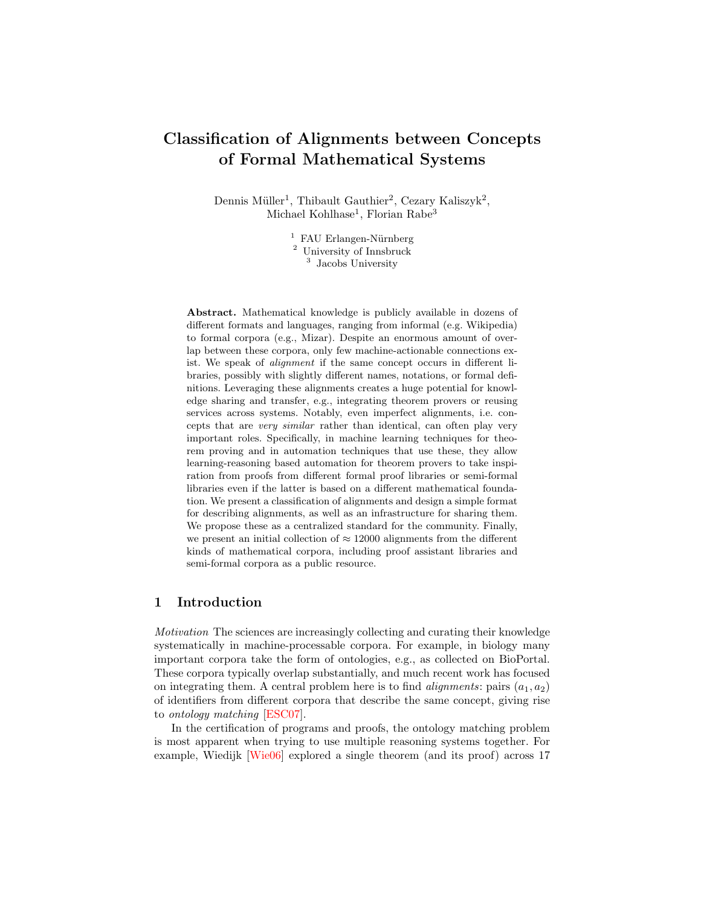# Classification of Alignments between Concepts of Formal Mathematical Systems

Dennis Müller<sup>1</sup>, Thibault Gauthier<sup>2</sup>, Cezary Kaliszyk<sup>2</sup>, Michael Kohlhase<sup>1</sup>, Florian Rabe<sup>3</sup>

> $<sup>1</sup>$  FAU Erlangen-Nürnberg</sup>  $^{\rm 2}$  University of Innsbruck <sup>3</sup> Jacobs University

Abstract. Mathematical knowledge is publicly available in dozens of different formats and languages, ranging from informal (e.g. Wikipedia) to formal corpora (e.g., Mizar). Despite an enormous amount of overlap between these corpora, only few machine-actionable connections exist. We speak of alignment if the same concept occurs in different libraries, possibly with slightly different names, notations, or formal definitions. Leveraging these alignments creates a huge potential for knowledge sharing and transfer, e.g., integrating theorem provers or reusing services across systems. Notably, even imperfect alignments, i.e. concepts that are very similar rather than identical, can often play very important roles. Specifically, in machine learning techniques for theorem proving and in automation techniques that use these, they allow learning-reasoning based automation for theorem provers to take inspiration from proofs from different formal proof libraries or semi-formal libraries even if the latter is based on a different mathematical foundation. We present a classification of alignments and design a simple format for describing alignments, as well as an infrastructure for sharing them. We propose these as a centralized standard for the community. Finally, we present an initial collection of  $\approx 12000$  alignments from the different kinds of mathematical corpora, including proof assistant libraries and semi-formal corpora as a public resource.

## 1 Introduction

Motivation The sciences are increasingly collecting and curating their knowledge systematically in machine-processable corpora. For example, in biology many important corpora take the form of ontologies, e.g., as collected on BioPortal. These corpora typically overlap substantially, and much recent work has focused on integrating them. A central problem here is to find *alignments*: pairs  $(a_1, a_2)$ of identifiers from different corpora that describe the same concept, giving rise to ontology matching [\[ESC07\]](#page-13-0).

In the certification of programs and proofs, the ontology matching problem is most apparent when trying to use multiple reasoning systems together. For example, Wiedijk [\[Wie06\]](#page-14-0) explored a single theorem (and its proof) across 17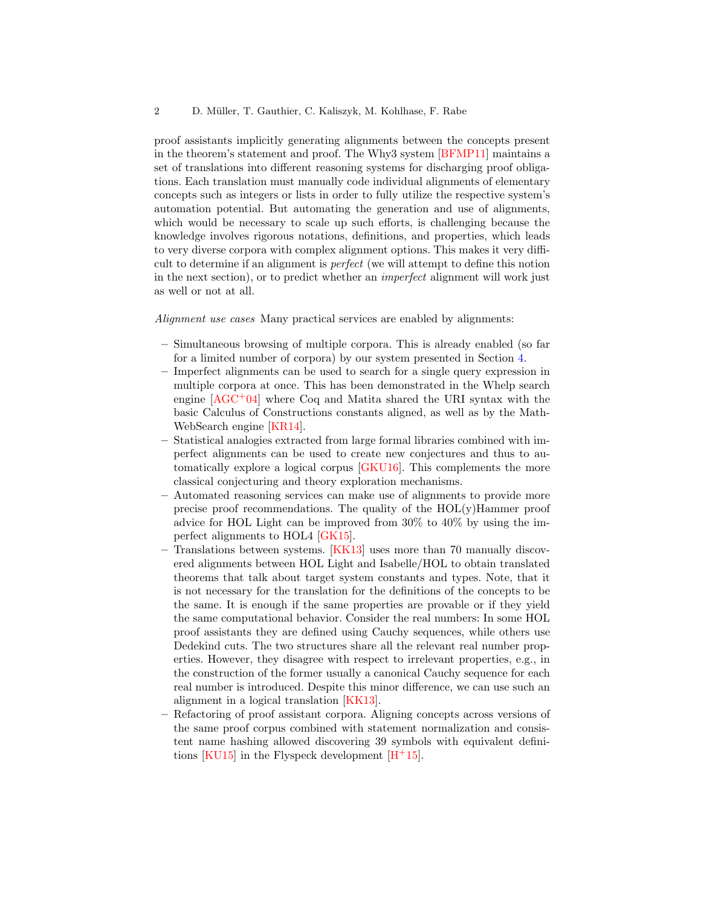proof assistants implicitly generating alignments between the concepts present in the theorem's statement and proof. The Why3 system [\[BFMP11\]](#page-13-1) maintains a set of translations into different reasoning systems for discharging proof obligations. Each translation must manually code individual alignments of elementary concepts such as integers or lists in order to fully utilize the respective system's automation potential. But automating the generation and use of alignments, which would be necessary to scale up such efforts, is challenging because the knowledge involves rigorous notations, definitions, and properties, which leads to very diverse corpora with complex alignment options. This makes it very difficult to determine if an alignment is perfect (we will attempt to define this notion in the next section), or to predict whether an imperfect alignment will work just as well or not at all.

Alignment use cases Many practical services are enabled by alignments:

- Simultaneous browsing of multiple corpora. This is already enabled (so far for a limited number of corpora) by our system presented in Section [4.](#page-10-0)
- Imperfect alignments can be used to search for a single query expression in multiple corpora at once. This has been demonstrated in the Whelp search engine [\[AGC](#page-13-2)+04] where Coq and Matita shared the URI syntax with the basic Calculus of Constructions constants aligned, as well as by the Math-WebSearch engine [\[KR14\]](#page-14-1).
- Statistical analogies extracted from large formal libraries combined with imperfect alignments can be used to create new conjectures and thus to automatically explore a logical corpus [\[GKU16\]](#page-13-3). This complements the more classical conjecturing and theory exploration mechanisms.
- Automated reasoning services can make use of alignments to provide more precise proof recommendations. The quality of the HOL(y)Hammer proof advice for HOL Light can be improved from 30% to 40% by using the imperfect alignments to HOL4 [\[GK15\]](#page-13-4).
- Translations between systems. [\[KK13\]](#page-14-2) uses more than 70 manually discovered alignments between HOL Light and Isabelle/HOL to obtain translated theorems that talk about target system constants and types. Note, that it is not necessary for the translation for the definitions of the concepts to be the same. It is enough if the same properties are provable or if they yield the same computational behavior. Consider the real numbers: In some HOL proof assistants they are defined using Cauchy sequences, while others use Dedekind cuts. The two structures share all the relevant real number properties. However, they disagree with respect to irrelevant properties, e.g., in the construction of the former usually a canonical Cauchy sequence for each real number is introduced. Despite this minor difference, we can use such an alignment in a logical translation [\[KK13\]](#page-14-2).
- Refactoring of proof assistant corpora. Aligning concepts across versions of the same proof corpus combined with statement normalization and consistent name hashing allowed discovering 39 symbols with equivalent defini-tions [\[KU15\]](#page-14-3) in the Flyspeck development  $[H<sup>+</sup>15]$  $[H<sup>+</sup>15]$ .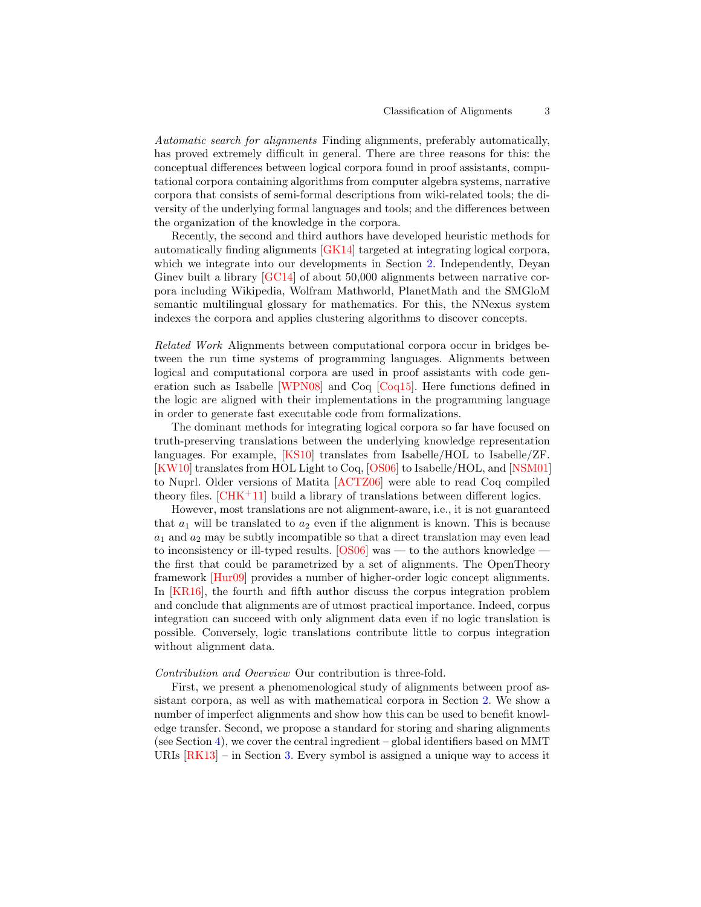Automatic search for alignments Finding alignments, preferably automatically, has proved extremely difficult in general. There are three reasons for this: the conceptual differences between logical corpora found in proof assistants, computational corpora containing algorithms from computer algebra systems, narrative corpora that consists of semi-formal descriptions from wiki-related tools; the diversity of the underlying formal languages and tools; and the differences between the organization of the knowledge in the corpora.

Recently, the second and third authors have developed heuristic methods for automatically finding alignments [\[GK14\]](#page-13-6) targeted at integrating logical corpora, which we integrate into our developments in Section [2.](#page-3-0) Independently, Deyan Ginev built a library [\[GC14\]](#page-13-7) of about 50,000 alignments between narrative corpora including Wikipedia, Wolfram Mathworld, PlanetMath and the SMGloM semantic multilingual glossary for mathematics. For this, the NNexus system indexes the corpora and applies clustering algorithms to discover concepts.

Related Work Alignments between computational corpora occur in bridges between the run time systems of programming languages. Alignments between logical and computational corpora are used in proof assistants with code generation such as Isabelle [\[WPN08\]](#page-14-4) and Coq [\[Coq15\]](#page-13-8). Here functions defined in the logic are aligned with their implementations in the programming language in order to generate fast executable code from formalizations.

The dominant methods for integrating logical corpora so far have focused on truth-preserving translations between the underlying knowledge representation languages. For example, [\[KS10\]](#page-14-5) translates from Isabelle/HOL to Isabelle/ZF. [\[KW10\]](#page-14-6) translates from HOL Light to Coq, [\[OS06\]](#page-14-7) to Isabelle/HOL, and [\[NSM01\]](#page-14-8) to Nuprl. Older versions of Matita [\[ACTZ06\]](#page-13-9) were able to read Coq compiled theory files.  $[CHK+11]$  $[CHK+11]$  build a library of translations between different logics.

However, most translations are not alignment-aware, i.e., it is not guaranteed that  $a_1$  will be translated to  $a_2$  even if the alignment is known. This is because  $a_1$  and  $a_2$  may be subtly incompatible so that a direct translation may even lead to inconsistency or ill-typed results.  $[OS06]$  was — to the authors knowledge the first that could be parametrized by a set of alignments. The OpenTheory framework [\[Hur09\]](#page-14-9) provides a number of higher-order logic concept alignments. In [\[KR16\]](#page-14-10), the fourth and fifth author discuss the corpus integration problem and conclude that alignments are of utmost practical importance. Indeed, corpus integration can succeed with only alignment data even if no logic translation is possible. Conversely, logic translations contribute little to corpus integration without alignment data.

## Contribution and Overview Our contribution is three-fold.

First, we present a phenomenological study of alignments between proof assistant corpora, as well as with mathematical corpora in Section [2.](#page-3-0) We show a number of imperfect alignments and show how this can be used to benefit knowledge transfer. Second, we propose a standard for storing and sharing alignments (see Section [4\)](#page-10-0), we cover the central ingredient – global identifiers based on MMT URIs  $[RK13]$  – in Section [3.](#page-7-0) Every symbol is assigned a unique way to access it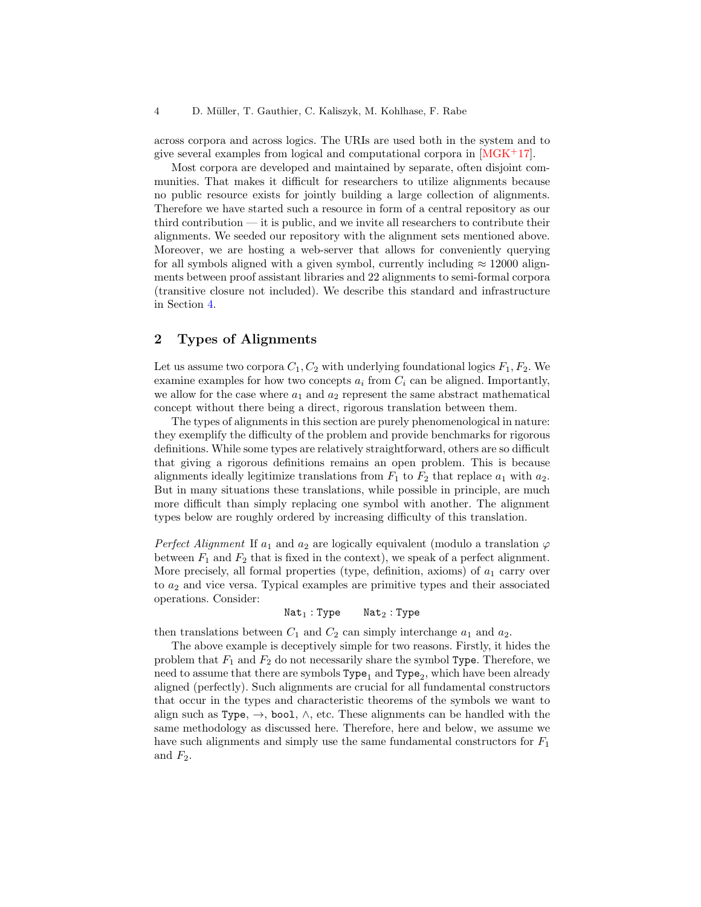across corpora and across logics. The URIs are used both in the system and to give several examples from logical and computational corpora in  $[MGK^+17]$  $[MGK^+17]$ .

Most corpora are developed and maintained by separate, often disjoint communities. That makes it difficult for researchers to utilize alignments because no public resource exists for jointly building a large collection of alignments. Therefore we have started such a resource in form of a central repository as our third contribution — it is public, and we invite all researchers to contribute their alignments. We seeded our repository with the alignment sets mentioned above. Moreover, we are hosting a web-server that allows for conveniently querying for all symbols aligned with a given symbol, currently including  $\approx 12000$  alignments between proof assistant libraries and 22 alignments to semi-formal corpora (transitive closure not included). We describe this standard and infrastructure in Section [4.](#page-10-0)

# <span id="page-3-0"></span>2 Types of Alignments

Let us assume two corpora  $C_1, C_2$  with underlying foundational logics  $F_1, F_2$ . We examine examples for how two concepts  $a_i$  from  $C_i$  can be aligned. Importantly, we allow for the case where  $a_1$  and  $a_2$  represent the same abstract mathematical concept without there being a direct, rigorous translation between them.

The types of alignments in this section are purely phenomenological in nature: they exemplify the difficulty of the problem and provide benchmarks for rigorous definitions. While some types are relatively straightforward, others are so difficult that giving a rigorous definitions remains an open problem. This is because alignments ideally legitimize translations from  $F_1$  to  $F_2$  that replace  $a_1$  with  $a_2$ . But in many situations these translations, while possible in principle, are much more difficult than simply replacing one symbol with another. The alignment types below are roughly ordered by increasing difficulty of this translation.

*Perfect Alignment* If  $a_1$  and  $a_2$  are logically equivalent (modulo a translation  $\varphi$ between  $F_1$  and  $F_2$  that is fixed in the context), we speak of a perfect alignment. More precisely, all formal properties (type, definition, axioms) of  $a_1$  carry over to  $a_2$  and vice versa. Typical examples are primitive types and their associated operations. Consider:

 $Nat<sub>1</sub> : Type$   $Nat<sub>2</sub> : Type$ 

then translations between  $C_1$  and  $C_2$  can simply interchange  $a_1$  and  $a_2$ .

The above example is deceptively simple for two reasons. Firstly, it hides the problem that  $F_1$  and  $F_2$  do not necessarily share the symbol Type. Therefore, we need to assume that there are symbols  $Type_1$  and  $Type_2$ , which have been already aligned (perfectly). Such alignments are crucial for all fundamental constructors that occur in the types and characteristic theorems of the symbols we want to align such as Type,  $\rightarrow$ , bool,  $\land$ , etc. These alignments can be handled with the same methodology as discussed here. Therefore, here and below, we assume we have such alignments and simply use the same fundamental constructors for  $F_1$ and  $F_2$ .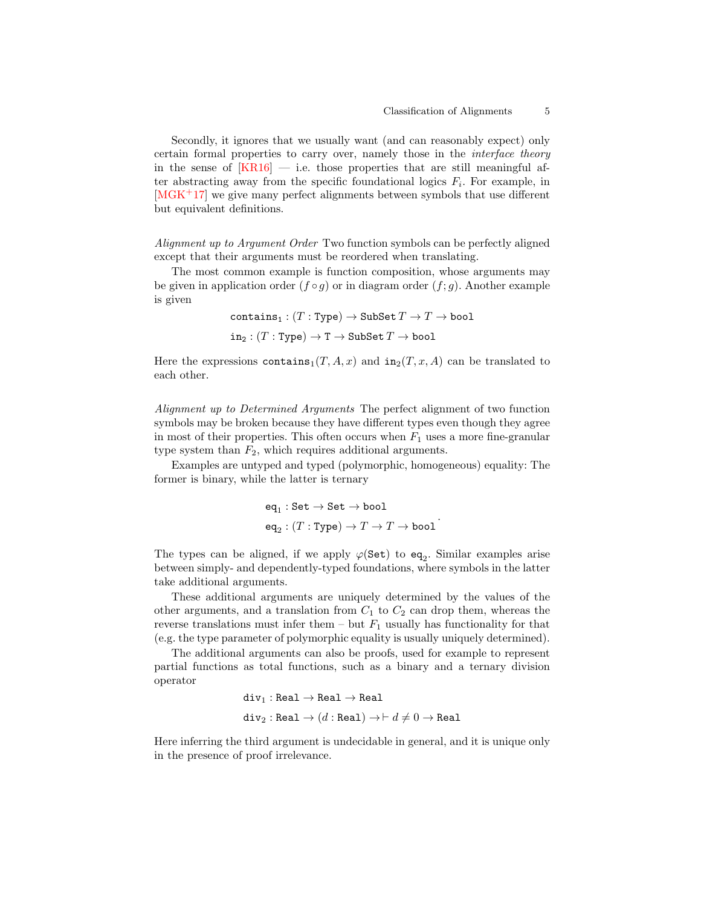Secondly, it ignores that we usually want (and can reasonably expect) only certain formal properties to carry over, namely those in the interface theory in the sense of  $[KR16]$  — i.e. those properties that are still meaningful after abstracting away from the specific foundational logics  $F_i$ . For example, in [\[MGK](#page-14-12)+17] we give many perfect alignments between symbols that use different but equivalent definitions.

Alignment up to Argument Order Two function symbols can be perfectly aligned except that their arguments must be reordered when translating.

The most common example is function composition, whose arguments may be given in application order  $(f \circ q)$  or in diagram order  $(f; q)$ . Another example is given

```
contains<sub>1</sub> : (T : Type) \rightarrow SubSet T \rightarrow T \rightarrow bool
```
 $in_2$ :  $(T : Type) \rightarrow T \rightarrow SubSet T \rightarrow bool$ 

Here the expressions contains<sub>1</sub> $(T, A, x)$  and in<sub>2</sub> $(T, x, A)$  can be translated to each other.

Alignment up to Determined Arguments The perfect alignment of two function symbols may be broken because they have different types even though they agree in most of their properties. This often occurs when  $F_1$  uses a more fine-granular type system than  $F_2$ , which requires additional arguments.

Examples are untyped and typed (polymorphic, homogeneous) equality: The former is binary, while the latter is ternary

> $\operatorname{\sf eq}_1 : \operatorname{\sf Set} \to \operatorname{\sf Set} \to \operatorname{\sf bool}$  $\operatorname{\sf eq}_2 : (T : \operatorname{Type}) \to T \to T \to \operatorname{\sf bool}$ .

The types can be aligned, if we apply  $\varphi(\texttt{Set})$  to  $\texttt{eq}_2$ . Similar examples arise between simply- and dependently-typed foundations, where symbols in the latter take additional arguments.

These additional arguments are uniquely determined by the values of the other arguments, and a translation from  $C_1$  to  $C_2$  can drop them, whereas the reverse translations must infer them – but  $F_1$  usually has functionality for that (e.g. the type parameter of polymorphic equality is usually uniquely determined).

The additional arguments can also be proofs, used for example to represent partial functions as total functions, such as a binary and a ternary division operator

$$
\begin{aligned} \texttt{div}_1: \texttt{Real} &\rightarrow \texttt{Real} \rightarrow \texttt{Real} \\ \texttt{div}_2: \texttt{Real} &\rightarrow \big(d: \texttt{Real}\big) \rightarrow \vdash d \neq 0 \rightarrow \texttt{Real} \end{aligned}
$$

Here inferring the third argument is undecidable in general, and it is unique only in the presence of proof irrelevance.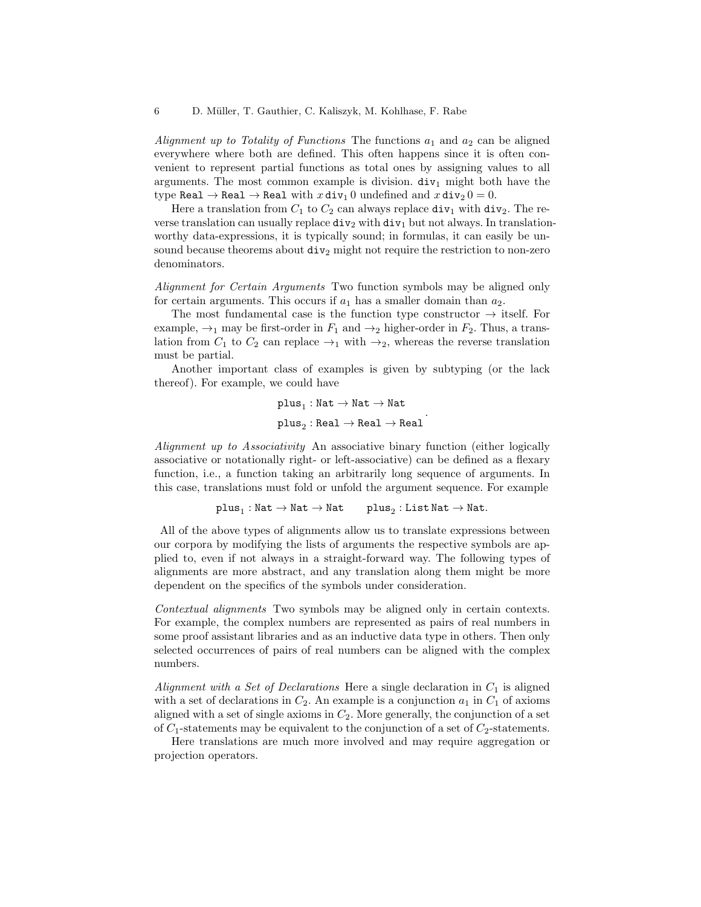Alignment up to Totality of Functions The functions  $a_1$  and  $a_2$  can be aligned everywhere where both are defined. This often happens since it is often convenient to represent partial functions as total ones by assigning values to all arguments. The most common example is division.  $div_1$  might both have the type Real  $\rightarrow$  Real  $\rightarrow$  Real with  $x \text{div}_1 0$  undefined and  $x \text{div}_2 0 = 0$ .

Here a translation from  $C_1$  to  $C_2$  can always replace  $div_1$  with  $div_2$ . The reverse translation can usually replace  $div_2$  with  $div_1$  but not always. In translationworthy data-expressions, it is typically sound; in formulas, it can easily be unsound because theorems about  $div_2$  might not require the restriction to non-zero denominators.

Alignment for Certain Arguments Two function symbols may be aligned only for certain arguments. This occurs if  $a_1$  has a smaller domain than  $a_2$ .

The most fundamental case is the function type constructor  $\rightarrow$  itself. For example,  $\rightarrow_1$  may be first-order in  $F_1$  and  $\rightarrow_2$  higher-order in  $F_2$ . Thus, a translation from  $C_1$  to  $C_2$  can replace  $\rightarrow_1$  with  $\rightarrow_2$ , whereas the reverse translation must be partial.

Another important class of examples is given by subtyping (or the lack thereof). For example, we could have

> $\texttt{plus}_{1}: \texttt{Nat} \rightarrow \texttt{Nat} \rightarrow \texttt{Nat}$  ${\tt plus}_2 : {\tt Real} \to {\tt Real} \to {\tt Real}$ .

Alignment up to Associativity An associative binary function (either logically associative or notationally right- or left-associative) can be defined as a flexary function, i.e., a function taking an arbitrarily long sequence of arguments. In this case, translations must fold or unfold the argument sequence. For example

$$
\mathtt{plus}_{1}: \mathtt{Nat} \to \mathtt{Nat} \to \mathtt{Nat} \qquad \mathtt{plus}_{2}: \mathtt{List}\, \mathtt{Nat} \to \mathtt{Nat}.
$$

All of the above types of alignments allow us to translate expressions between our corpora by modifying the lists of arguments the respective symbols are applied to, even if not always in a straight-forward way. The following types of alignments are more abstract, and any translation along them might be more dependent on the specifics of the symbols under consideration.

Contextual alignments Two symbols may be aligned only in certain contexts. For example, the complex numbers are represented as pairs of real numbers in some proof assistant libraries and as an inductive data type in others. Then only selected occurrences of pairs of real numbers can be aligned with the complex numbers.

Alignment with a Set of Declarations Here a single declaration in  $C_1$  is aligned with a set of declarations in  $C_2$ . An example is a conjunction  $a_1$  in  $C_1$  of axioms aligned with a set of single axioms in  $C_2$ . More generally, the conjunction of a set of  $C_1$ -statements may be equivalent to the conjunction of a set of  $C_2$ -statements.

Here translations are much more involved and may require aggregation or projection operators.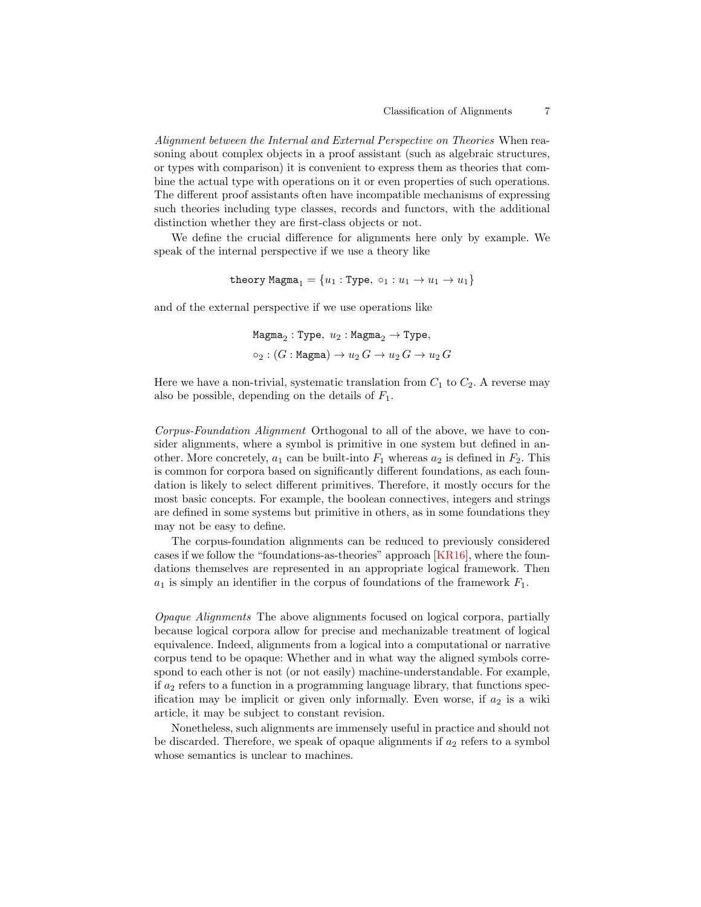Alignment between the Internal and External Perspective on Theories When reasoning about complex objects in a proof assistant (such as algebraic structures, or types with comparison) it is convenient to express them as theories that combine the actual type with operations on it or even properties of such operations. The different proof assistants often have incompatible mechanisms of expressing such theories including type classes, records and functors, with the additional distinction whether they are first-class objects or not.

We define the crucial difference for alignments here only by example. We speak of the internal perspective if we use a theory like

$$
\texttt{theory Magna}_1 = \{u_1: \texttt{Type}, \ \texttt{o}_1: u_1 \rightarrow u_1 \rightarrow u_1\}
$$

and of the external perspective if we use operations like

$$
\begin{aligned} &\texttt{Magma}_2: \texttt{Type}, \; u_2: \texttt{Magma}_2 \rightarrow \texttt{Type}, \\ &\texttt{\circ}_2: (G: \texttt{Magma}) \rightarrow u_2 \, G \rightarrow u_2 \, G \rightarrow u_2 \, G \end{aligned}
$$

Here we have a non-trivial, systematic translation from  $C_1$  to  $C_2$ . A reverse may also be possible, depending on the details of  $F_1$ .

Corpus-Foundation Alignment Orthogonal to all of the above, we have to consider alignments, where a symbol is primitive in one system but defined in another. More concretely,  $a_1$  can be built-into  $F_1$  whereas  $a_2$  is defined in  $F_2$ . This is common for corpora based on significantly different foundations, as each foundation is likely to select different primitives. Therefore, it mostly occurs for the most basic concepts. For example, the boolean connectives, integers and strings are defined in some systems but primitive in others, as in some foundations they may not be easy to define.

The corpus-foundation alignments can be reduced to previously considered cases if we follow the "foundations-as-theories" approach [\[KR16\]](#page-14-10), where the foundations themselves are represented in an appropriate logical framework. Then  $a_1$  is simply an identifier in the corpus of foundations of the framework  $F_1$ .

Opaque Alignments The above alignments focused on logical corpora, partially because logical corpora allow for precise and mechanizable treatment of logical equivalence. Indeed, alignments from a logical into a computational or narrative corpus tend to be opaque: Whether and in what way the aligned symbols correspond to each other is not (or not easily) machine-understandable. For example, if  $a_2$  refers to a function in a programming language library, that functions specification may be implicit or given only informally. Even worse, if  $a_2$  is a wiki article, it may be subject to constant revision.

Nonetheless, such alignments are immensely useful in practice and should not be discarded. Therefore, we speak of opaque alignments if  $a_2$  refers to a symbol whose semantics is unclear to machines.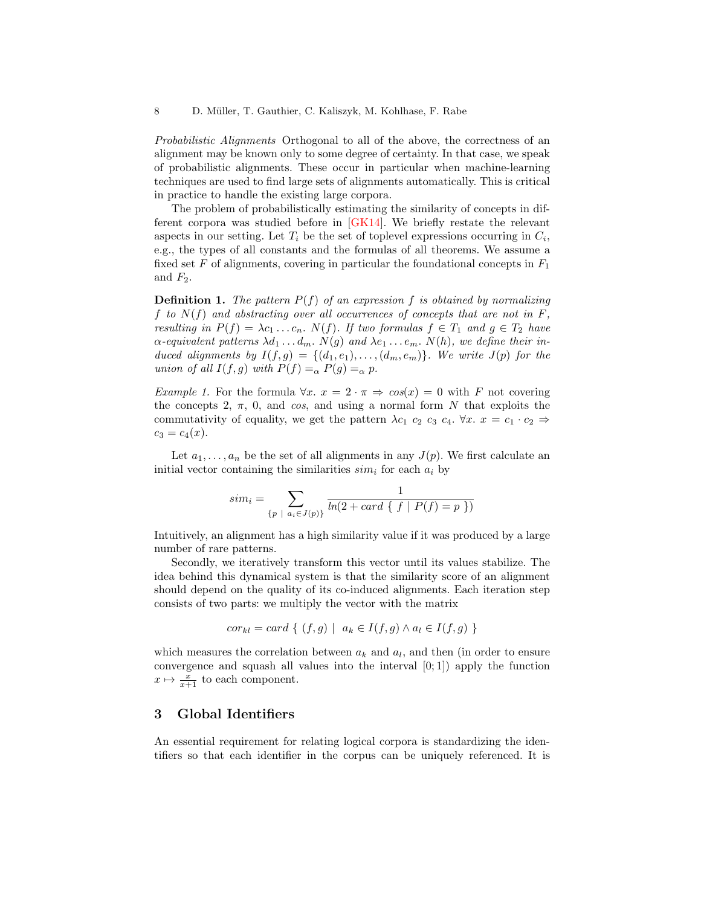Probabilistic Alignments Orthogonal to all of the above, the correctness of an alignment may be known only to some degree of certainty. In that case, we speak of probabilistic alignments. These occur in particular when machine-learning techniques are used to find large sets of alignments automatically. This is critical in practice to handle the existing large corpora.

The problem of probabilistically estimating the similarity of concepts in different corpora was studied before in [\[GK14\]](#page-13-6). We briefly restate the relevant aspects in our setting. Let  $T_i$  be the set of toplevel expressions occurring in  $C_i$ , e.g., the types of all constants and the formulas of all theorems. We assume a fixed set F of alignments, covering in particular the foundational concepts in  $F_1$ and  $F_2$ .

**Definition 1.** The pattern  $P(f)$  of an expression f is obtained by normalizing f to  $N(f)$  and abstracting over all occurrences of concepts that are not in  $F$ , resulting in  $P(f) = \lambda c_1 \ldots c_n$ .  $N(f)$ . If two formulas  $f \in T_1$  and  $g \in T_2$  have  $\alpha$ -equivalent patterns  $\lambda d_1 \ldots d_m$ .  $N(g)$  and  $\lambda e_1 \ldots e_m$ .  $N(h)$ , we define their induced alignments by  $I(f, g) = \{(d_1, e_1), \ldots, (d_m, e_m)\}\.$  We write  $J(p)$  for the union of all  $I(f, g)$  with  $P(f) =_{\alpha} P(g) =_{\alpha} p$ .

Example 1. For the formula  $\forall x. x = 2 \cdot \pi \Rightarrow \cos(x) = 0$  with F not covering the concepts 2,  $\pi$ , 0, and cos, and using a normal form N that exploits the commutativity of equality, we get the pattern  $\lambda c_1$   $c_2$   $c_3$   $c_4$ .  $\forall x$ .  $x = c_1 \cdot c_2 \Rightarrow$  $c_3 = c_4(x)$ .

Let  $a_1, \ldots, a_n$  be the set of all alignments in any  $J(p)$ . We first calculate an initial vector containing the similarities  $sim<sub>i</sub>$  for each  $a<sub>i</sub>$  by

$$
sim_i = \sum_{\{p \ |\ a_i \in J(p)\}} \frac{1}{\ln(2 + card \{ f \ | \ P(f) = p \})}
$$

Intuitively, an alignment has a high similarity value if it was produced by a large number of rare patterns.

Secondly, we iteratively transform this vector until its values stabilize. The idea behind this dynamical system is that the similarity score of an alignment should depend on the quality of its co-induced alignments. Each iteration step consists of two parts: we multiply the vector with the matrix

$$
cor_{kl} = card \{ (f,g) \mid a_k \in I(f,g) \land a_l \in I(f,g) \}
$$

which measures the correlation between  $a_k$  and  $a_l$ , and then (in order to ensure convergence and squash all values into the interval  $[0; 1]$  apply the function  $x \mapsto \frac{x}{x+1}$  to each component.

## <span id="page-7-0"></span>3 Global Identifiers

An essential requirement for relating logical corpora is standardizing the identifiers so that each identifier in the corpus can be uniquely referenced. It is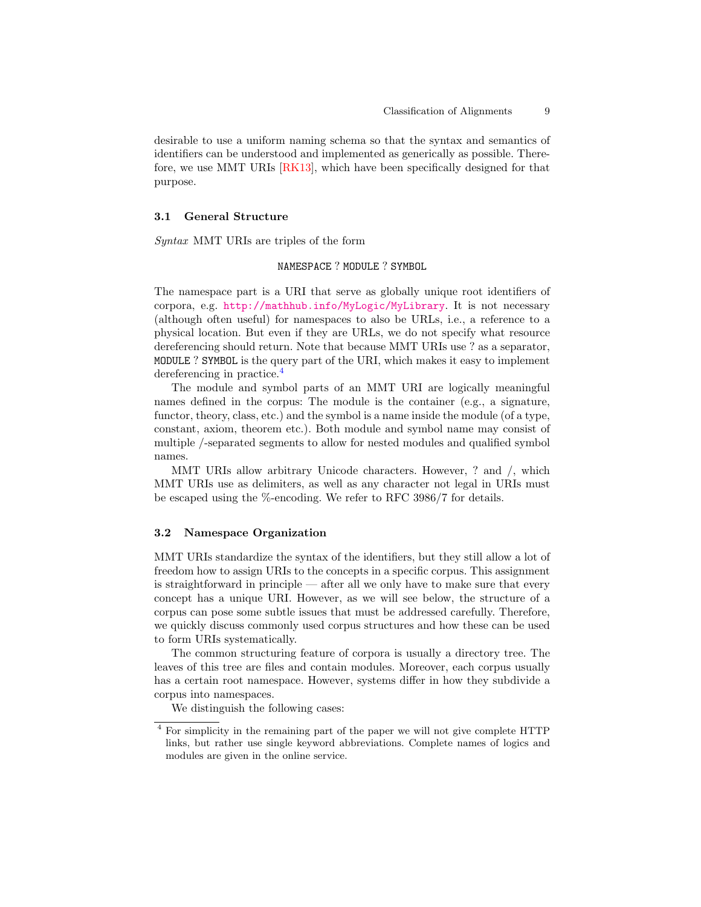desirable to use a uniform naming schema so that the syntax and semantics of identifiers can be understood and implemented as generically as possible. Therefore, we use MMT URIs [\[RK13\]](#page-14-11), which have been specifically designed for that purpose.

#### 3.1 General Structure

Syntax MMT URIs are triples of the form

## NAMESPACE ? MODULE ? SYMBOL

The namespace part is a URI that serve as globally unique root identifiers of corpora, e.g. <http://mathhub.info/MyLogic/MyLibrary>. It is not necessary (although often useful) for namespaces to also be URLs, i.e., a reference to a physical location. But even if they are URLs, we do not specify what resource dereferencing should return. Note that because MMT URIs use ? as a separator, MODULE ? SYMBOL is the query part of the URI, which makes it easy to implement dereferencing in practice.<sup>[4](#page-8-0)</sup>

The module and symbol parts of an MMT URI are logically meaningful names defined in the corpus: The module is the container (e.g., a signature, functor, theory, class, etc.) and the symbol is a name inside the module (of a type, constant, axiom, theorem etc.). Both module and symbol name may consist of multiple /-separated segments to allow for nested modules and qualified symbol names.

MMT URIs allow arbitrary Unicode characters. However, ? and /, which MMT URIs use as delimiters, as well as any character not legal in URIs must be escaped using the %-encoding. We refer to RFC 3986/7 for details.

## 3.2 Namespace Organization

MMT URIs standardize the syntax of the identifiers, but they still allow a lot of freedom how to assign URIs to the concepts in a specific corpus. This assignment is straightforward in principle — after all we only have to make sure that every concept has a unique URI. However, as we will see below, the structure of a corpus can pose some subtle issues that must be addressed carefully. Therefore, we quickly discuss commonly used corpus structures and how these can be used to form URIs systematically.

The common structuring feature of corpora is usually a directory tree. The leaves of this tree are files and contain modules. Moreover, each corpus usually has a certain root namespace. However, systems differ in how they subdivide a corpus into namespaces.

We distinguish the following cases:

<span id="page-8-0"></span><sup>4</sup> For simplicity in the remaining part of the paper we will not give complete HTTP links, but rather use single keyword abbreviations. Complete names of logics and modules are given in the online service.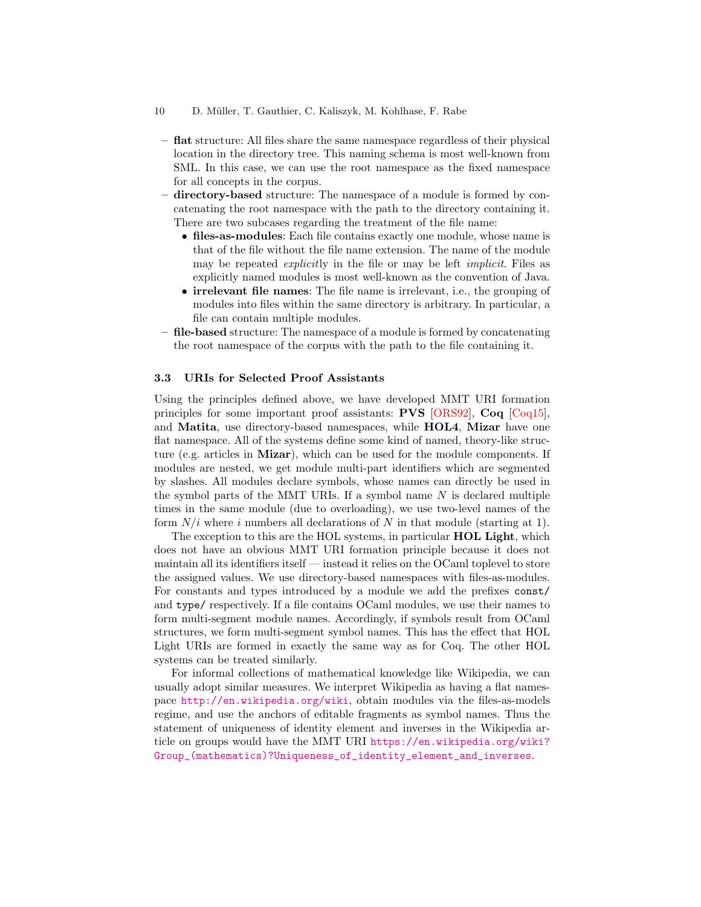- flat structure: All files share the same namespace regardless of their physical location in the directory tree. This naming schema is most well-known from SML. In this case, we can use the root namespace as the fixed namespace for all concepts in the corpus.
- directory-based structure: The namespace of a module is formed by concatenating the root namespace with the path to the directory containing it. There are two subcases regarding the treatment of the file name:
	- files-as-modules: Each file contains exactly one module, whose name is that of the file without the file name extension. The name of the module may be repeated explicitly in the file or may be left implicit. Files as explicitly named modules is most well-known as the convention of Java.
	- irrelevant file names: The file name is irrelevant, i.e., the grouping of modules into files within the same directory is arbitrary. In particular, a file can contain multiple modules.
- file-based structure: The namespace of a module is formed by concatenating the root namespace of the corpus with the path to the file containing it.

## 3.3 URIs for Selected Proof Assistants

Using the principles defined above, we have developed MMT URI formation principles for some important proof assistants: PVS [\[ORS92\]](#page-14-13), Coq [\[Coq15\]](#page-13-8), and Matita, use directory-based namespaces, while HOL4, Mizar have one flat namespace. All of the systems define some kind of named, theory-like structure (e.g. articles in Mizar), which can be used for the module components. If modules are nested, we get module multi-part identifiers which are segmented by slashes. All modules declare symbols, whose names can directly be used in the symbol parts of the MMT URIs. If a symbol name  $N$  is declared multiple times in the same module (due to overloading), we use two-level names of the form  $N/i$  where i numbers all declarations of N in that module (starting at 1).

The exception to this are the HOL systems, in particular **HOL Light**, which does not have an obvious MMT URI formation principle because it does not maintain all its identifiers itself — instead it relies on the OCaml toplevel to store the assigned values. We use directory-based namespaces with files-as-modules. For constants and types introduced by a module we add the prefixes const/ and type/ respectively. If a file contains OCaml modules, we use their names to form multi-segment module names. Accordingly, if symbols result from OCaml structures, we form multi-segment symbol names. This has the effect that HOL Light URIs are formed in exactly the same way as for Coq. The other HOL systems can be treated similarly.

For informal collections of mathematical knowledge like Wikipedia, we can usually adopt similar measures. We interpret Wikipedia as having a flat namespace <http://en.wikipedia.org/wiki>, obtain modules via the files-as-models regime, and use the anchors of editable fragments as symbol names. Thus the statement of uniqueness of identity element and inverses in the Wikipedia article on groups would have the MMT URI [https://en.wikipedia.org/wiki?](https://en.wikipedia.org/wiki?Group_(mathematics)?Uniqueness_of_identity_element_and_inverses) [Group\\_\(mathematics\)?Uniqueness\\_of\\_identity\\_element\\_and\\_inverses](https://en.wikipedia.org/wiki?Group_(mathematics)?Uniqueness_of_identity_element_and_inverses).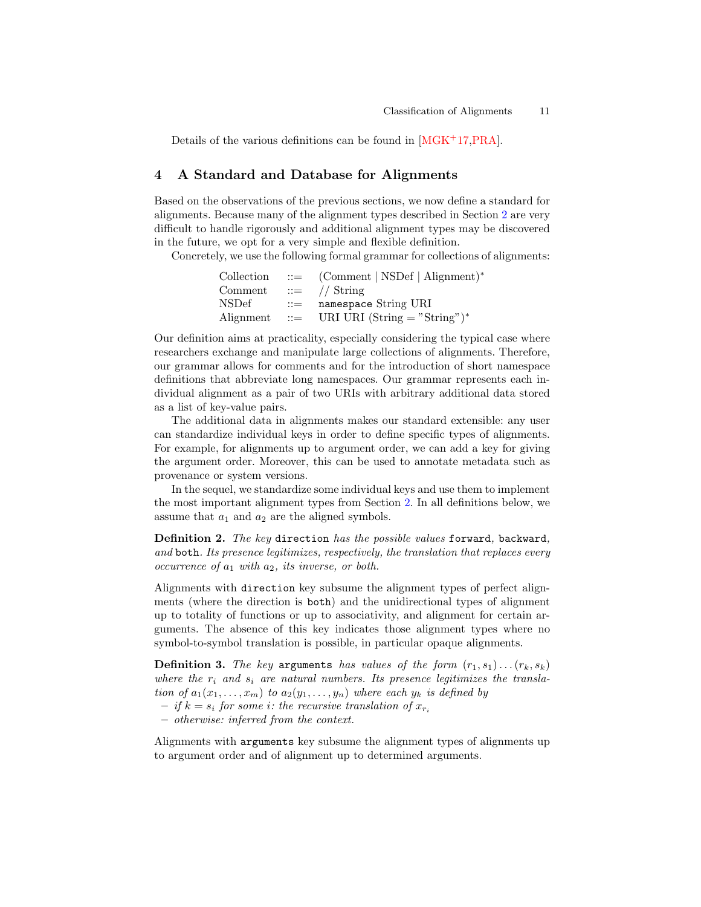Details of the various definitions can be found in [\[MGK](#page-14-12)+17[,PRA\]](#page-14-14).

## <span id="page-10-0"></span>4 A Standard and Database for Alignments

Based on the observations of the previous sections, we now define a standard for alignments. Because many of the alignment types described in Section [2](#page-3-0) are very difficult to handle rigorously and additional alignment types may be discovered in the future, we opt for a very simple and flexible definition.

Concretely, we use the following formal grammar for collections of alignments:

| Collection |                | $ ::=$ (Comment   NSDef   Alignment)*      |
|------------|----------------|--------------------------------------------|
| Comment    |                | $\therefore$ // String                     |
| NSDef      | $\therefore =$ | namespace String URI                       |
|            |                | Alignment ::= URI URI (String = "String")* |

Our definition aims at practicality, especially considering the typical case where researchers exchange and manipulate large collections of alignments. Therefore, our grammar allows for comments and for the introduction of short namespace definitions that abbreviate long namespaces. Our grammar represents each individual alignment as a pair of two URIs with arbitrary additional data stored as a list of key-value pairs.

The additional data in alignments makes our standard extensible: any user can standardize individual keys in order to define specific types of alignments. For example, for alignments up to argument order, we can add a key for giving the argument order. Moreover, this can be used to annotate metadata such as provenance or system versions.

In the sequel, we standardize some individual keys and use them to implement the most important alignment types from Section [2.](#page-3-0) In all definitions below, we assume that  $a_1$  and  $a_2$  are the aligned symbols.

Definition 2. The key direction has the possible values forward, backward, and both. Its presence legitimizes, respectively, the translation that replaces every occurrence of  $a_1$  with  $a_2$ , its inverse, or both.

Alignments with direction key subsume the alignment types of perfect alignments (where the direction is both) and the unidirectional types of alignment up to totality of functions or up to associativity, and alignment for certain arguments. The absence of this key indicates those alignment types where no symbol-to-symbol translation is possible, in particular opaque alignments.

**Definition 3.** The key arguments has values of the form  $(r_1, s_1) \dots (r_k, s_k)$ where the  $r_i$  and  $s_i$  are natural numbers. Its presence legitimizes the translation of  $a_1(x_1, \ldots, x_m)$  to  $a_2(y_1, \ldots, y_n)$  where each  $y_k$  is defined by – if  $k = s_i$  for some i: the recursive translation of  $x_{r_i}$ 

– otherwise: inferred from the context.

Alignments with arguments key subsume the alignment types of alignments up to argument order and of alignment up to determined arguments.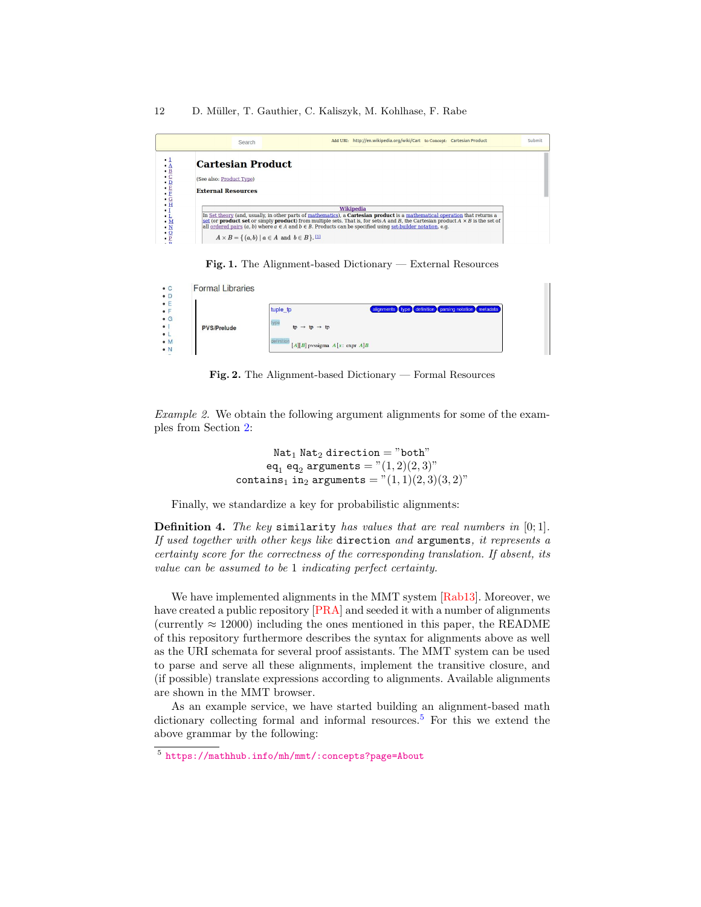#### 12 D. Müller, T. Gauthier, C. Kaliszyk, M. Kohlhase, F. Rabe

|                     | Search                                                                                                                                                                                                                                                                                                                                                                                                                                                                                 | Add URI: http://en.wikipedia.org/wiki/Cart to Concept: Cartesian Product |  | Submit |
|---------------------|----------------------------------------------------------------------------------------------------------------------------------------------------------------------------------------------------------------------------------------------------------------------------------------------------------------------------------------------------------------------------------------------------------------------------------------------------------------------------------------|--------------------------------------------------------------------------|--|--------|
| . 1<br>A<br>FIGHEEO | <b>Cartesian Product</b><br>(See also: Product Type)<br><b>External Resources</b>                                                                                                                                                                                                                                                                                                                                                                                                      |                                                                          |  |        |
|                     | In Set theory (and, usually, in other parts of mathematics), a <b>Cartesian product</b> is a mathematical operation that returns a<br>set (or <b>product set</b> or simply <b>product</b> ) from multiple sets. That is, for sets A and B, the Cartesian product $A \times B$ is the set of<br>all ordered pairs $(a, b)$ where $a \in A$ and $b \in B$ . Products can be specified using set-builder notation, e.g.<br>$A \times B = \{ (a, b) \mid a \in A \text{ and } b \in B \}.$ | Wikipedia                                                                |  |        |

<span id="page-11-1"></span>Fig. 1. The Alignment-based Dictionary — External Resources

| <b>Formal Libraries</b> |                                                                  |
|-------------------------|------------------------------------------------------------------|
|                         | tuple_tp<br>alignments type definition parsing notation metadata |
| <b>PVS/Prelude</b>      | type<br>$tp \rightarrow tp \rightarrow tp$                       |
|                         | definition<br>$[A][B]$ pyssigma $A[x: \text{expr } A]B$          |

<span id="page-11-2"></span>Fig. 2. The Alignment-based Dictionary — Formal Resources

Example 2. We obtain the following argument alignments for some of the examples from Section [2:](#page-3-0)

> $Nat<sub>1</sub> Nat<sub>2</sub> direction = "both"$  $eq_1 eq_2$  arguments  $= "(1, 2)(2, 3)"$ contains<sub>1</sub> in<sub>2</sub> arguments =  $"(1, 1)(2, 3)(3, 2)"$

Finally, we standardize a key for probabilistic alignments:

**Definition 4.** The key similarity has values that are real numbers in  $[0;1]$ . If used together with other keys like direction and arguments, it represents a certainty score for the correctness of the corresponding translation. If absent, its value can be assumed to be 1 indicating perfect certainty.

We have implemented alignments in the MMT system [\[Rab13\]](#page-14-15). Moreover, we have created a public repository [\[PRA\]](#page-14-14) and seeded it with a number of alignments (currently  $\approx 12000$ ) including the ones mentioned in this paper, the README of this repository furthermore describes the syntax for alignments above as well as the URI schemata for several proof assistants. The MMT system can be used to parse and serve all these alignments, implement the transitive closure, and (if possible) translate expressions according to alignments. Available alignments are shown in the MMT browser.

As an example service, we have started building an alignment-based math dictionary collecting formal and informal resources.<sup>[5](#page-11-0)</sup> For this we extend the above grammar by the following:

<span id="page-11-0"></span><sup>5</sup> <https://mathhub.info/mh/mmt/:concepts?page=About>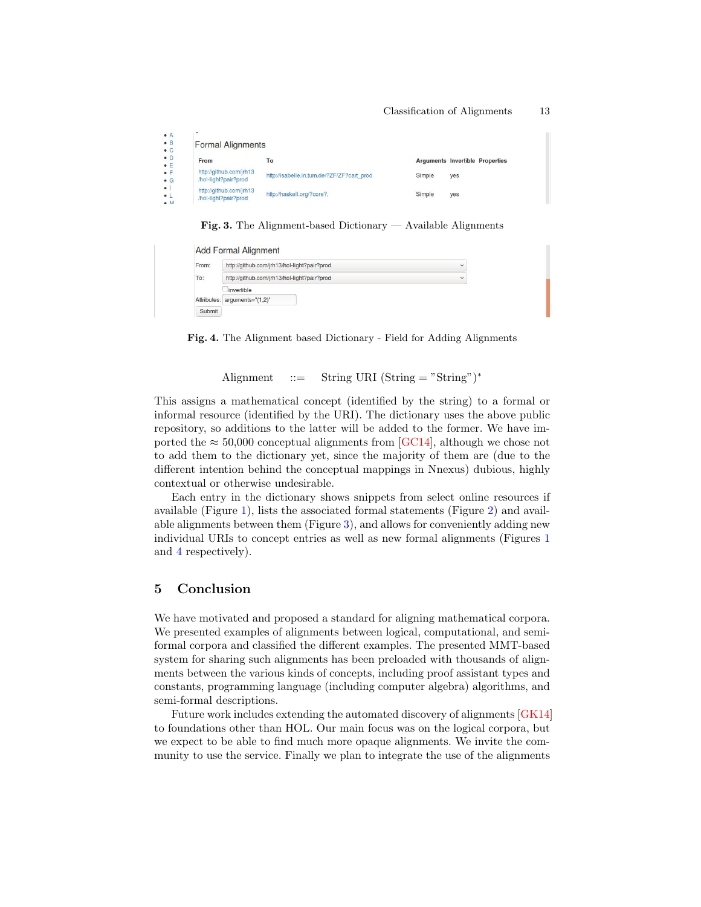| п.<br><b>Formal Alignments</b>                  |                                            |        |                                        |
|-------------------------------------------------|--------------------------------------------|--------|----------------------------------------|
| From                                            | To                                         |        | <b>Arguments Invertible Properties</b> |
| http://github.com/jrh13<br>/hol-light?pair?prod | http://isabelle.in.tum.de/?ZF/ZF?cart_prod | Simple | yes                                    |
| http://github.com/jrh13<br>/hol-light?pair?prod | http://haskell.org/?core?,                 | Simple | yes                                    |

<span id="page-12-0"></span>Fig. 3. The Alignment-based Dictionary — Available Alignments

| From: | http://github.com/jrh13/hol-light?pair?prod | $\checkmark$ |
|-------|---------------------------------------------|--------------|
| To:   | http://github.com/jrh13/hol-light?pair?prod | $\checkmark$ |
|       | linvertible                                 |              |
|       | Attributes: arguments="(1,2)"               |              |

<span id="page-12-1"></span>Fig. 4. The Alignment based Dictionary - Field for Adding Alignments

Alignment  $::=$  String URI (String = "String")<sup>\*</sup>

This assigns a mathematical concept (identified by the string) to a formal or informal resource (identified by the URI). The dictionary uses the above public repository, so additions to the latter will be added to the former. We have imported the  $\approx$  50,000 conceptual alignments from [\[GC14\]](#page-13-7), although we chose not to add them to the dictionary yet, since the majority of them are (due to the different intention behind the conceptual mappings in Nnexus) dubious, highly contextual or otherwise undesirable.

Each entry in the dictionary shows snippets from select online resources if available (Figure [1\)](#page-11-1), lists the associated formal statements (Figure [2\)](#page-11-2) and available alignments between them (Figure [3\)](#page-12-0), and allows for conveniently adding new individual URIs to concept entries as well as new formal alignments (Figures [1](#page-11-1) and [4](#page-12-1) respectively).

# 5 Conclusion

We have motivated and proposed a standard for aligning mathematical corpora. We presented examples of alignments between logical, computational, and semiformal corpora and classified the different examples. The presented MMT-based system for sharing such alignments has been preloaded with thousands of alignments between the various kinds of concepts, including proof assistant types and constants, programming language (including computer algebra) algorithms, and semi-formal descriptions.

Future work includes extending the automated discovery of alignments [\[GK14\]](#page-13-6) to foundations other than HOL. Our main focus was on the logical corpora, but we expect to be able to find much more opaque alignments. We invite the community to use the service. Finally we plan to integrate the use of the alignments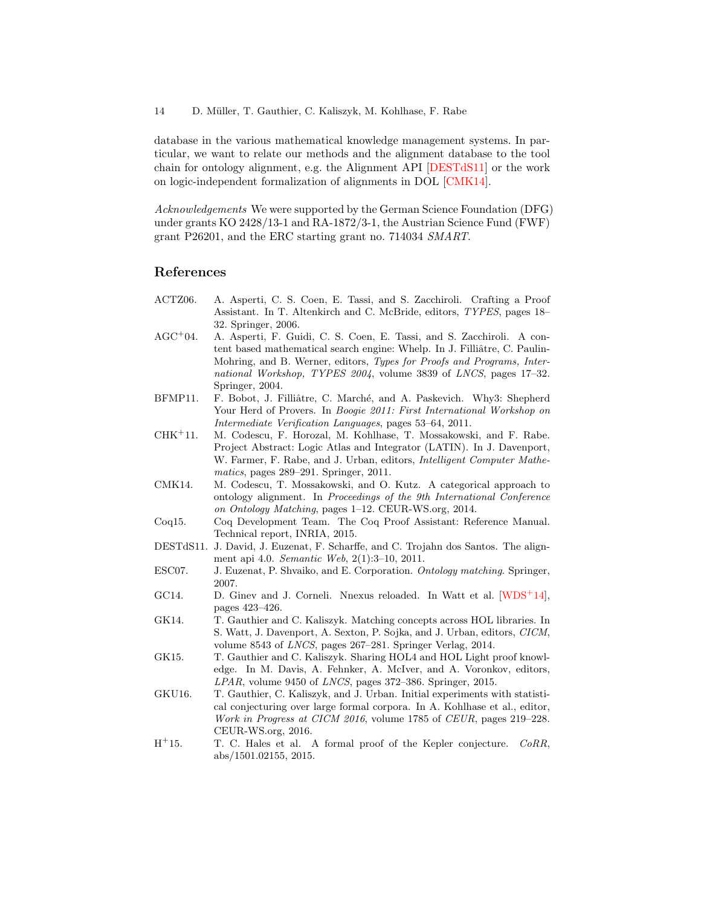database in the various mathematical knowledge management systems. In particular, we want to relate our methods and the alignment database to the tool chain for ontology alignment, e.g. the Alignment API [\[DESTdS11\]](#page-13-11) or the work on logic-independent formalization of alignments in DOL [\[CMK14\]](#page-13-12).

Acknowledgements We were supported by the German Science Foundation (DFG) under grants KO 2428/13-1 and RA-1872/3-1, the Austrian Science Fund (FWF) grant P26201, and the ERC starting grant no. 714034 SMART.

## References

- <span id="page-13-9"></span>ACTZ06. A. Asperti, C. S. Coen, E. Tassi, and S. Zacchiroli. Crafting a Proof Assistant. In T. Altenkirch and C. McBride, editors, TYPES, pages 18– 32. Springer, 2006.
- <span id="page-13-2"></span>AGC<sup>+</sup>04. A. Asperti, F. Guidi, C. S. Coen, E. Tassi, and S. Zacchiroli. A content based mathematical search engine: Whelp. In J. Filliâtre, C. Paulin-Mohring, and B. Werner, editors, Types for Proofs and Programs, International Workshop, TYPES 2004, volume 3839 of LNCS, pages 17–32. Springer, 2004.
- <span id="page-13-1"></span>BFMP11. F. Bobot, J. Filliâtre, C. Marché, and A. Paskevich. Why3: Shepherd Your Herd of Provers. In Boogie 2011: First International Workshop on Intermediate Verification Languages, pages 53–64, 2011.
- <span id="page-13-10"></span>CHK<sup>+</sup>11. M. Codescu, F. Horozal, M. Kohlhase, T. Mossakowski, and F. Rabe. Project Abstract: Logic Atlas and Integrator (LATIN). In J. Davenport, W. Farmer, F. Rabe, and J. Urban, editors, *Intelligent Computer Mathe*matics, pages 289–291. Springer, 2011.
- <span id="page-13-12"></span>CMK14. M. Codescu, T. Mossakowski, and O. Kutz. A categorical approach to ontology alignment. In Proceedings of the 9th International Conference on Ontology Matching, pages 1–12. CEUR-WS.org, 2014.
- <span id="page-13-8"></span>Coq15. Coq Development Team. The Coq Proof Assistant: Reference Manual. Technical report, INRIA, 2015.
- <span id="page-13-11"></span>DESTdS11. J. David, J. Euzenat, F. Scharffe, and C. Trojahn dos Santos. The alignment api 4.0. Semantic Web, 2(1):3–10, 2011.
- <span id="page-13-0"></span>ESC07. J. Euzenat, P. Shvaiko, and E. Corporation. Ontology matching. Springer, 2007.
- <span id="page-13-7"></span>GC14. D. Ginev and J. Corneli. Nnexus reloaded. In Watt et al.  $[WDS^+14]$  $[WDS^+14]$ , pages 423–426.
- <span id="page-13-6"></span>GK14. T. Gauthier and C. Kaliszyk. Matching concepts across HOL libraries. In S. Watt, J. Davenport, A. Sexton, P. Sojka, and J. Urban, editors, CICM, volume 8543 of LNCS, pages 267–281. Springer Verlag, 2014.
- <span id="page-13-4"></span>GK15. T. Gauthier and C. Kaliszyk. Sharing HOL4 and HOL Light proof knowledge. In M. Davis, A. Fehnker, A. McIver, and A. Voronkov, editors, LPAR, volume 9450 of LNCS, pages 372–386. Springer, 2015.
- <span id="page-13-3"></span>GKU16. T. Gauthier, C. Kaliszyk, and J. Urban. Initial experiments with statistical conjecturing over large formal corpora. In A. Kohlhase et al., editor, Work in Progress at CICM 2016, volume 1785 of CEUR, pages 219–228. CEUR-WS.org, 2016.
- <span id="page-13-5"></span> $H^+15.$ T. C. Hales et al. A formal proof of the Kepler conjecture. CoRR, abs/1501.02155, 2015.